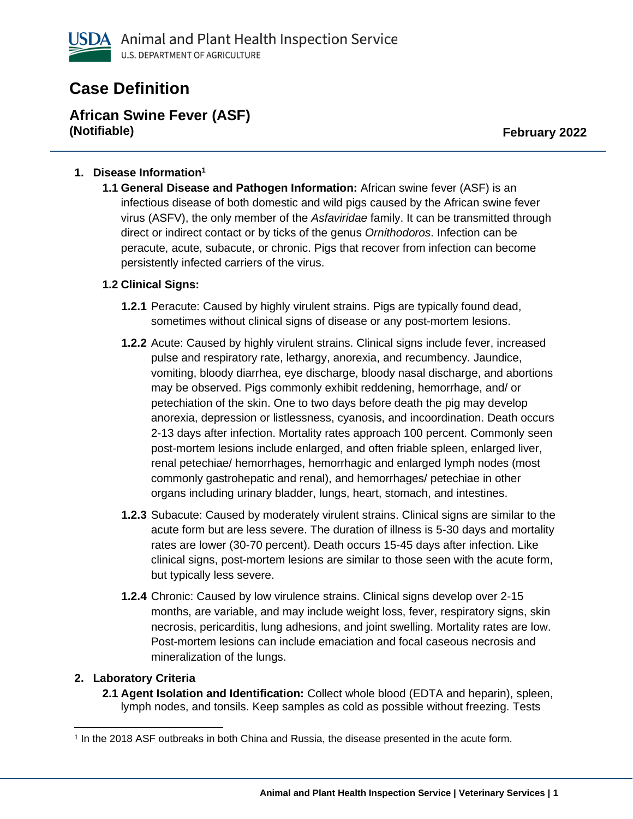

# **Case Definition**

**African Swine Fever (ASF) (Notifiable) February 2022**

### **1. Disease Information<sup>1</sup>**

**1.1 General Disease and Pathogen Information:** African swine fever (ASF) is an infectious disease of both domestic and wild pigs caused by the African swine fever virus (ASFV), the only member of the *Asfaviridae* family. It can be transmitted through direct or indirect contact or by ticks of the genus *Ornithodoros*. Infection can be peracute, acute, subacute, or chronic. Pigs that recover from infection can become persistently infected carriers of the virus.

### **1.2 Clinical Signs:**

- **1.2.1** Peracute: Caused by highly virulent strains. Pigs are typically found dead, sometimes without clinical signs of disease or any post-mortem lesions.
- **1.2.2** Acute: Caused by highly virulent strains. Clinical signs include fever, increased pulse and respiratory rate, lethargy, anorexia, and recumbency. Jaundice, vomiting, bloody diarrhea, eye discharge, bloody nasal discharge, and abortions may be observed. Pigs commonly exhibit reddening, hemorrhage, and/ or petechiation of the skin. One to two days before death the pig may develop anorexia, depression or listlessness, cyanosis, and incoordination. Death occurs 2-13 days after infection. Mortality rates approach 100 percent. Commonly seen post-mortem lesions include enlarged, and often friable spleen, enlarged liver, renal petechiae/ hemorrhages, hemorrhagic and enlarged lymph nodes (most commonly gastrohepatic and renal), and hemorrhages/ petechiae in other organs including urinary bladder, lungs, heart, stomach, and intestines.
- **1.2.3** Subacute: Caused by moderately virulent strains. Clinical signs are similar to the acute form but are less severe. The duration of illness is 5-30 days and mortality rates are lower (30-70 percent). Death occurs 15-45 days after infection. Like clinical signs, post-mortem lesions are similar to those seen with the acute form, but typically less severe.
- **1.2.4** Chronic: Caused by low virulence strains. Clinical signs develop over 2-15 months, are variable, and may include weight loss, fever, respiratory signs, skin necrosis, pericarditis, lung adhesions, and joint swelling. Mortality rates are low. Post-mortem lesions can include emaciation and focal caseous necrosis and mineralization of the lungs.

### **2. Laboratory Criteria**

**2.1 Agent Isolation and Identification:** Collect whole blood (EDTA and heparin), spleen, lymph nodes, and tonsils. Keep samples as cold as possible without freezing. Tests

<sup>1</sup> In the 2018 ASF outbreaks in both China and Russia, the disease presented in the acute form.